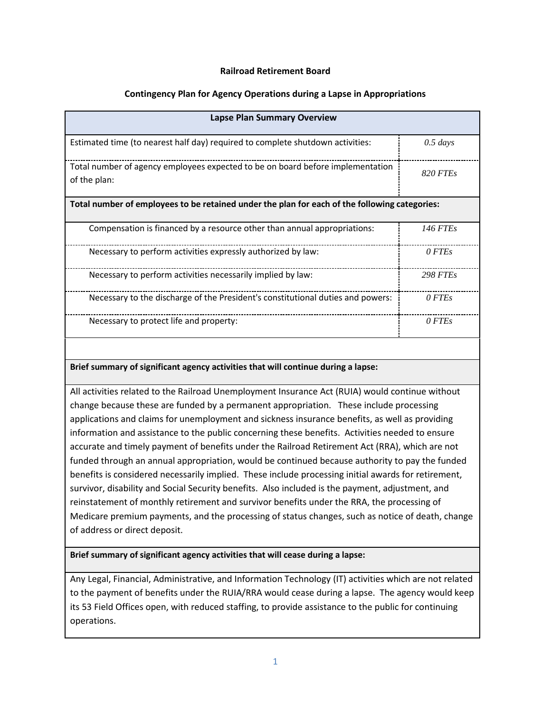# **Railroad Retirement Board**

# **Contingency Plan for Agency Operations during a Lapse in Appropriations**

| <b>Lapse Plan Summary Overview</b>                                                              |                 |
|-------------------------------------------------------------------------------------------------|-----------------|
| Estimated time (to nearest half day) required to complete shutdown activities:                  | $0.5 \; days$   |
| Total number of agency employees expected to be on board before implementation<br>of the plan:  | <b>820 FTEs</b> |
| Total number of employees to be retained under the plan for each of the following categories:   |                 |
| Compensation is financed by a resource other than annual appropriations:                        | <b>146 FTEs</b> |
| Necessary to perform activities expressly authorized by law:                                    | 0 FTEs          |
| Necessary to perform activities necessarily implied by law:                                     | <b>298 FTEs</b> |
| Necessary to the discharge of the President's constitutional duties and powers:                 | 0 FTEs          |
| Necessary to protect life and property:                                                         | 0 FTEs          |
|                                                                                                 |                 |
| Brief summary of significant agency activities that will continue during a lapse:               |                 |
| All activities related to the Railroad Unemployment Insurance Act (RUIA) would continue without |                 |
| change because these are funded by a permanent appropriation. These include processing          |                 |

 applications and claims for unemployment and sickness insurance benefits, as well as providing information and assistance to the public concerning these benefits. Activities needed to ensure accurate and timely payment of benefits under the Railroad Retirement Act (RRA), which are not funded through an annual appropriation, would be continued because authority to pay the funded benefits is considered necessarily implied. These include processing initial awards for retirement, survivor, disability and Social Security benefits. Also included is the payment, adjustment, and reinstatement of monthly retirement and survivor benefits under the RRA, the processing of Medicare premium payments, and the processing of status changes, such as notice of death, change of address or direct deposit.

# **Brief summary of significant agency activities that will cease during a lapse:**

 to the payment of benefits under the RUIA/RRA would cease during a lapse. The agency would keep its 53 Field Offices open, with reduced staffing, to provide assistance to the public for continuing operations. Any Legal, Financial, Administrative, and Information Technology (IT) activities which are not related operations.<br>
<del>1</del>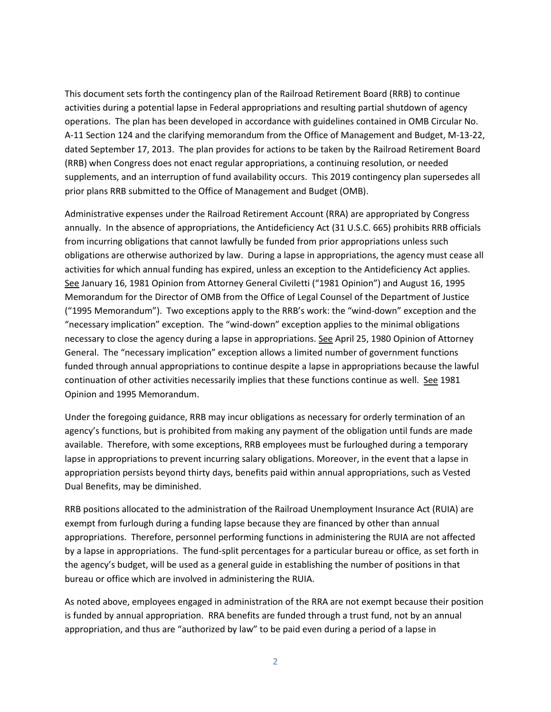This document sets forth the contingency plan of the Railroad Retirement Board (RRB) to continue operations. The plan has been developed in accordance with guidelines contained in OMB Circular No. (RRB) when Congress does not enact regular appropriations, a continuing resolution, or needed supplements, and an interruption of fund availability occurs. This 2019 contingency plan supersedes all prior plans RRB submitted to the Office of Management and Budget (OMB). activities during a potential lapse in Federal appropriations and resulting partial shutdown of agency A-11 Section 124 and the clarifying memorandum from the Office of Management and Budget, M-13-22, dated September 17, 2013. The plan provides for actions to be taken by the Railroad Retirement Board

 obligations are otherwise authorized by law. During a lapse in appropriations, the agency must cease all activities for which annual funding has expired, unless an exception to the Antideficiency Act applies. See January 16, 1981 Opinion from Attorney General Civiletti ("1981 Opinion") and August 16, 1995 ("1995 Memorandum"). Two exceptions apply to the RRB's work: the "wind-down" exception and the "necessary implication" exception. The "wind-down" exception applies to the minimal obligations necessary to close the agency during a lapse in appropriations. See April 25, 1980 Opinion of Attorney General. The "necessary implication" exception allows a limited number of government functions funded through annual appropriations to continue despite a lapse in appropriations because the lawful continuation of other activities necessarily implies that these functions continue as well. See 1981 Administrative expenses under the Railroad Retirement Account (RRA) are appropriated by Congress annually. In the absence of appropriations, the Antideficiency Act (31 U.S.C. 665) prohibits RRB officials from incurring obligations that cannot lawfully be funded from prior appropriations unless such Memorandum for the Director of OMB from the Office of Legal Counsel of the Department of Justice Opinion and 1995 Memorandum.

 Under the foregoing guidance, RRB may incur obligations as necessary for orderly termination of an agency's functions, but is prohibited from making any payment of the obligation until funds are made available. Therefore, with some exceptions, RRB employees must be furloughed during a temporary lapse in appropriations to prevent incurring salary obligations. Moreover, in the event that a lapse in Dual Benefits, may be diminished. appropriation persists beyond thirty days, benefits paid within annual appropriations, such as Vested

 bureau or office which are involved in administering the RUIA. RRB positions allocated to the administration of the Railroad Unemployment Insurance Act (RUIA) are exempt from furlough during a funding lapse because they are financed by other than annual appropriations. Therefore, personnel performing functions in administering the RUIA are not affected by a lapse in appropriations. The fund-split percentages for a particular bureau or office, as set forth in the agency's budget, will be used as a general guide in establishing the number of positions in that

 appropriation, and thus are "authorized by law" to be paid even during a period of a lapse in As noted above, employees engaged in administration of the RRA are not exempt because their position is funded by annual appropriation. RRA benefits are funded through a trust fund, not by an annual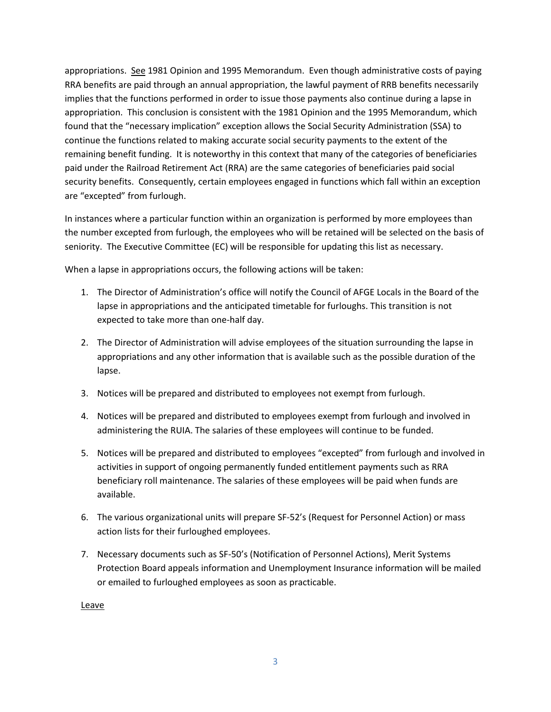appropriations. See 1981 Opinion and 1995 Memorandum. Even though administrative costs of paying appropriation. This conclusion is consistent with the 1981 Opinion and the 1995 Memorandum, which found that the "necessary implication" exception allows the Social Security Administration (SSA) to security benefits. Consequently, certain employees engaged in functions which fall within an exception RRA benefits are paid through an annual appropriation, the lawful payment of RRB benefits necessarily implies that the functions performed in order to issue those payments also continue during a lapse in continue the functions related to making accurate social security payments to the extent of the remaining benefit funding. It is noteworthy in this context that many of the categories of beneficiaries paid under the Railroad Retirement Act (RRA) are the same categories of beneficiaries paid social are "excepted" from furlough.

 In instances where a particular function within an organization is performed by more employees than seniority. The Executive Committee (EC) will be responsible for updating this list as necessary. the number excepted from furlough, the employees who will be retained will be selected on the basis of

When a lapse in appropriations occurs, the following actions will be taken:

- 1. The Director of Administration's office will notify the Council of AFGE Locals in the Board of the lapse in appropriations and the anticipated timetable for furloughs. This transition is not expected to take more than one-half day.
- 2. The Director of Administration will advise employees of the situation surrounding the lapse in appropriations and any other information that is available such as the possible duration of the lapse.
- 3. Notices will be prepared and distributed to employees not exempt from furlough.
- administering the RUIA. The salaries of these employees will continue to be funded. 4. Notices will be prepared and distributed to employees exempt from furlough and involved in
- activities in support of ongoing permanently funded entitlement payments such as RRA beneficiary roll maintenance. The salaries of these employees will be paid when funds are 5. Notices will be prepared and distributed to employees "excepted" from furlough and involved in available.
- 6. The various organizational units will prepare SF-52's (Request for Personnel Action) or mass action lists for their furloughed employees.
- Protection Board appeals information and Unemployment Insurance information will be mailed 7. Necessary documents such as SF-50's (Notification of Personnel Actions), Merit Systems or emailed to furloughed employees as soon as practicable.

Leave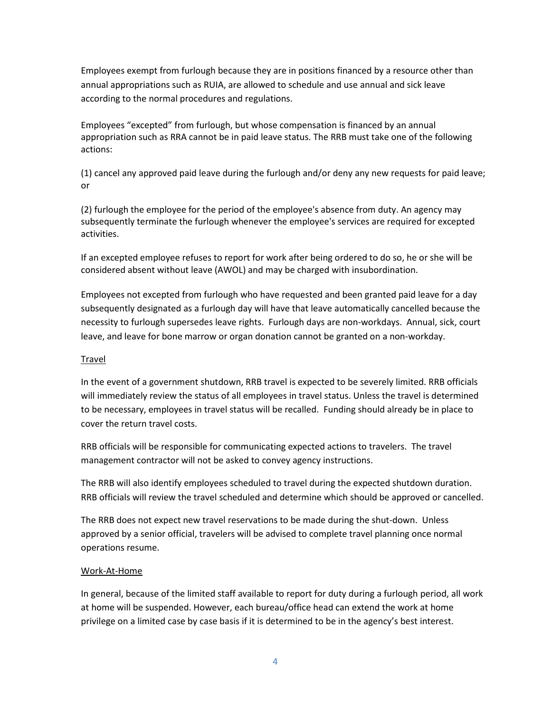Employees exempt from furlough because they are in positions financed by a resource other than annual appropriations such as RUIA, are allowed to schedule and use annual and sick leave according to the normal procedures and regulations.

 Employees "excepted" from furlough, but whose compensation is financed by an annual appropriation such as RRA cannot be in paid leave status. The RRB must take one of the following actions:

(1) cancel any approved paid leave during the furlough and/or deny any new requests for paid leave; or

 (2) furlough the employee for the period of the employee's absence from duty. An agency may subsequently terminate the furlough whenever the employee's services are required for excepted activities.

 If an excepted employee refuses to report for work after being ordered to do so, he or she will be considered absent without leave (AWOL) and may be charged with insubordination.

 subsequently designated as a furlough day will have that leave automatically cancelled because the necessity to furlough supersedes leave rights. Furlough days are non-workdays. Annual, sick, court leave, and leave for bone marrow or organ donation cannot be granted on a non-workday. Employees not excepted from furlough who have requested and been granted paid leave for a day

# Travel

 In the event of a government shutdown, RRB travel is expected to be severely limited. RRB officials will immediately review the status of all employees in travel status. Unless the travel is determined to be necessary, employees in travel status will be recalled. Funding should already be in place to cover the return travel costs.

RRB officials will be responsible for communicating expected actions to travelers. The travel management contractor will not be asked to convey agency instructions.

The RRB will also identify employees scheduled to travel during the expected shutdown duration. RRB officials will review the travel scheduled and determine which should be approved or cancelled.

 approved by a senior official, travelers will be advised to complete travel planning once normal The RRB does not expect new travel reservations to be made during the shut-down. Unless operations resume.

# Work-At-Home

 In general, because of the limited staff available to report for duty during a furlough period, all work at home will be suspended. However, each bureau/office head can extend the work at home privilege on a limited case by case basis if it is determined to be in the agency's best interest.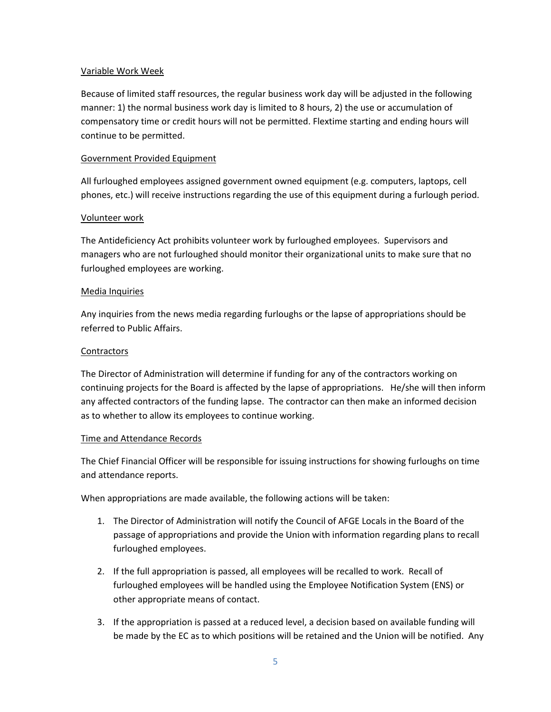#### Variable Work Week

Because of limited staff resources, the regular business work day will be adjusted in the following manner: 1) the normal business work day is limited to 8 hours, 2) the use or accumulation of compensatory time or credit hours will not be permitted. Flextime starting and ending hours will continue to be permitted.

# Government Provided Equipment

All furloughed employees assigned government owned equipment (e.g. computers, laptops, cell phones, etc.) will receive instructions regarding the use of this equipment during a furlough period.

# Volunteer work

The Antideficiency Act prohibits volunteer work by furloughed employees. Supervisors and managers who are not furloughed should monitor their organizational units to make sure that no furloughed employees are working.

#### Media Inquiries

Any inquiries from the news media regarding furloughs or the lapse of appropriations should be referred to Public Affairs.

#### **Contractors**

 continuing projects for the Board is affected by the lapse of appropriations. He/she will then inform any affected contractors of the funding lapse. The contractor can then make an informed decision The Director of Administration will determine if funding for any of the contractors working on as to whether to allow its employees to continue working.

#### Time and Attendance Records

 The Chief Financial Officer will be responsible for issuing instructions for showing furloughs on time and attendance reports.

When appropriations are made available, the following actions will be taken:

- 1. The Director of Administration will notify the Council of AFGE Locals in the Board of the passage of appropriations and provide the Union with information regarding plans to recall furloughed employees.
- other appropriate means of contact. 2. If the full appropriation is passed, all employees will be recalled to work. Recall of furloughed employees will be handled using the Employee Notification System (ENS) or
- be made by the EC as to which positions will be retained and the Union will be notified. Any 3. If the appropriation is passed at a reduced level, a decision based on available funding will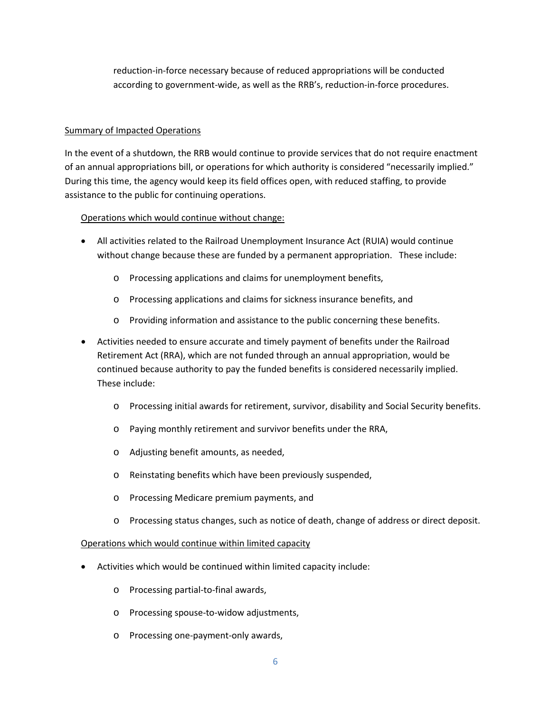according to government-wide, as well as the RRB's, reduction-in-force procedures.<br>Summary of Impacted Operations reduction-in-force necessary because of reduced appropriations will be conducted

of an annual appropriations bill, or operations for which authority is considered "necessarily implied."<br>During this time, the agency would keep its field offices open, with reduced staffing, to provide assistance to the public for continuing operations. In the event of a shutdown, the RRB would continue to provide services that do not require enactment

# assistance to the public for continuing operations.<br>Operations which would continue without change:

- without change because these are funded by a permanent appropriation. These include: • All activities related to the Railroad Unemployment Insurance Act (RUIA) would continue
	- o Processing applications and claims for unemployment benefits,
	- o Processing applications and claims for sickness insurance benefits, and
	- o Providing information and assistance to the public concerning these benefits.
- continued because authority to pay the funded benefits is considered necessarily implied.<br>These include: • Activities needed to ensure accurate and timely payment of benefits under the Railroad Retirement Act (RRA), which are not funded through an annual appropriation, would be
	- $\circ$  Processing initial awards for retirement, survivor, disability and Social Security benefits.
	- o Paying monthly retirement and survivor benefits under the RRA,
	- o Adjusting benefit amounts, as needed,
	- o Reinstating benefits which have been previously suspended,
	- o Processing Medicare premium payments, and
	- o Processing status changes, such as notice of death, change of address or direct deposit.

# Operations which would continue within limited capacity

- Activities which would be continued within limited capacity include:
	- o Processing partial-to-final awards,
	- o Processing spouse-to-widow adjustments,
	- o Processing one-payment-only awards,